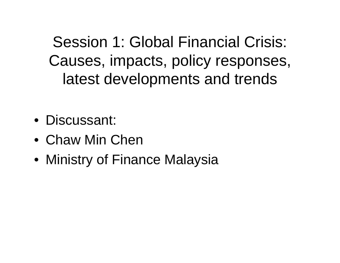Session 1: Global Financial Crisis: Causes, impacts, policy responses, latest developments and trends

- Discussant:
- Chaw Min Chen
- Ministry of Finance Malaysia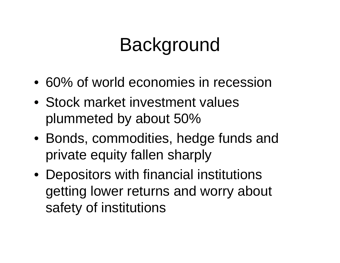### Background

- 60% of world economies in recession
- Stock market investment values plummeted by about 50%
- Bonds, commodities, hedge funds and private equity fallen sharply
- Depositors with financial institutions getting lower returns and worry about safety of institutions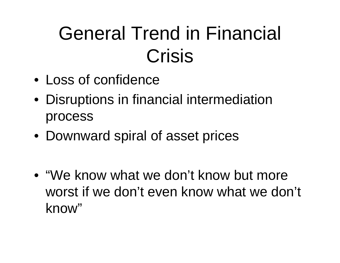## General Trend in Financial Crisis

- Loss of confidence
- Disruptions in financial intermediation process
- Downward spiral of asset prices

• "We know what we don't know but more worst if we don't even know what we don't know"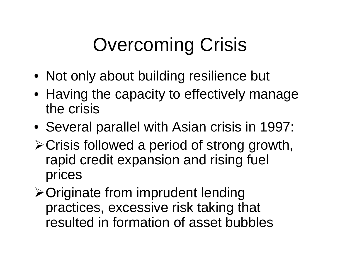# Overcoming Crisis

- Not only about building resilience but
- Having the capacity to effectively manage the crisis
- Several parallel with Asian crisis in 1997:
- ¾Crisis followed a period of strong growth, rapid credit expansion and rising fuel prices
- ¾Originate from imprudent lending practices, excessive risk taking that resulted in formation of asset bubbles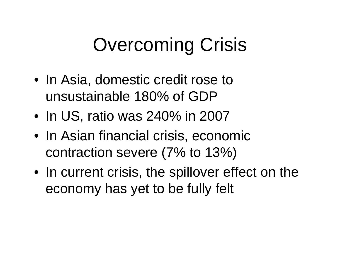## Overcoming Crisis

- In Asia, domestic credit rose to unsustainable 180% of GDP
- In US, ratio was 240% in 2007
- In Asian financial crisis, economic contraction severe (7% to 13%)
- In current crisis, the spillover effect on the economy has yet to be fully felt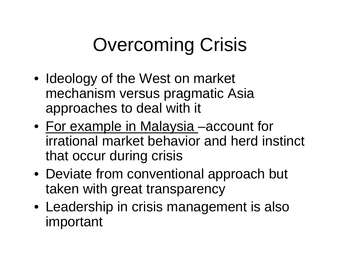# Overcoming Crisis

- Ideology of the West on market mechanism versus pragmatic Asia approaches to deal with it
- For example in Malaysia -account for irrational market behavior and herd instinct that occur during crisis
- Deviate from conventional approach but taken with great transparency
- Leadership in crisis management is also important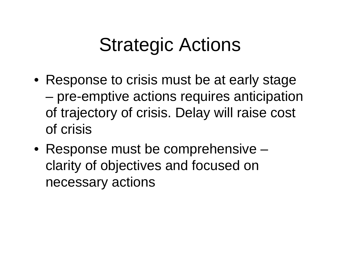#### Strategic Actions

- Response to crisis must be at early stage – pre-emptive actions requires anticipation of trajectory of crisis. Delay will raise cost of crisis
- Response must be comprehensive clarity of objectives and focused on necessary actions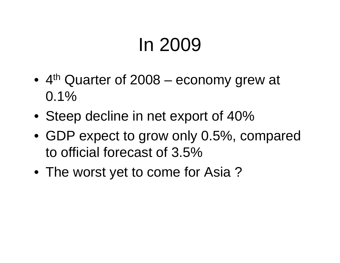### In 2009

- 4<sup>th</sup> Quarter of 2008 economy grew at  $0.1\%$
- Steep decline in net export of 40%
- GDP expect to grow only 0.5%, compared to official forecast of 3.5%
- The worst yet to come for Asia?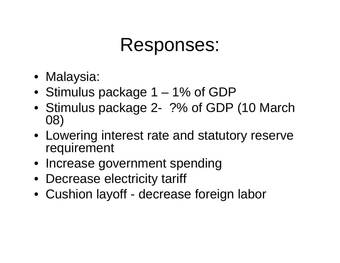#### Responses:

- Malaysia:
- Stimulus package 1 1% of GDP
- Stimulus package 2- ?% of GDP (10 March 08)
- Lowering interest rate and statutory reserve requirement
- Increase government spending
- Decrease electricity tariff
- Cushion layoff decrease foreign labor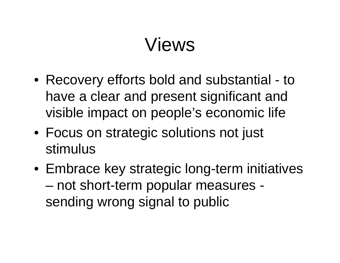#### Views

- Recovery efforts bold and substantial to have a clear and present significant and visible impact on people's economic life
- Focus on strategic solutions not just stimulus
- Embrace key strategic long-term initiatives – not short-term popular measures sending wrong signal to public